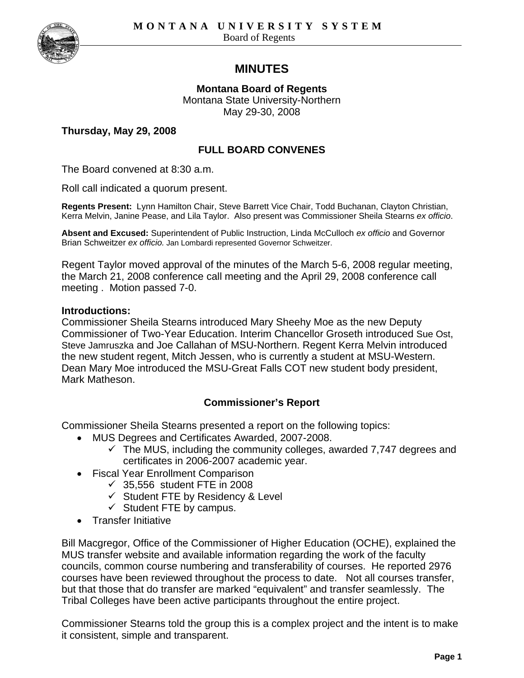

# **MINUTES**

**Montana Board of Regents**  Montana State University-Northern May 29-30, 2008

**Thursday, May 29, 2008** 

# **FULL BOARD CONVENES**

The Board convened at 8:30 a.m.

Roll call indicated a quorum present.

**Regents Present:** Lynn Hamilton Chair, Steve Barrett Vice Chair, Todd Buchanan, Clayton Christian, Kerra Melvin, Janine Pease, and Lila Taylor. Also present was Commissioner Sheila Stearns *ex officio*.

**Absent and Excused:** Superintendent of Public Instruction, Linda McCulloch *ex officio* and Governor Brian Schweitzer *ex officio.* Jan Lombardi represented Governor Schweitzer.

Regent Taylor moved approval of the minutes of the March 5-6, 2008 regular meeting, the March 21, 2008 conference call meeting and the April 29, 2008 conference call meeting . Motion passed 7-0.

#### **Introductions:**

Commissioner Sheila Stearns introduced Mary Sheehy Moe as the new Deputy Commissioner of Two-Year Education. Interim Chancellor Groseth introduced Sue Ost, Steve Jamruszka and Joe Callahan of MSU-Northern. Regent Kerra Melvin introduced the new student regent, Mitch Jessen, who is currently a student at MSU-Western. Dean Mary Moe introduced the MSU-Great Falls COT new student body president, Mark Matheson.

### **Commissioner's Report**

Commissioner Sheila Stearns presented a report on the following topics:

- MUS Degrees and Certificates Awarded, 2007-2008.
	- $\checkmark$  The MUS, including the community colleges, awarded 7,747 degrees and certificates in 2006-2007 academic year.
- Fiscal Year Enrollment Comparison
	- $\checkmark$  35,556 student FTE in 2008
	- $\checkmark$  Student FTE by Residency & Level
	- $\checkmark$  Student FTE by campus.
- Transfer Initiative

Bill Macgregor, Office of the Commissioner of Higher Education (OCHE), explained the MUS transfer website and available information regarding the work of the faculty councils, common course numbering and transferability of courses. He reported 2976 courses have been reviewed throughout the process to date. Not all courses transfer, but that those that do transfer are marked "equivalent" and transfer seamlessly. The Tribal Colleges have been active participants throughout the entire project.

Commissioner Stearns told the group this is a complex project and the intent is to make it consistent, simple and transparent.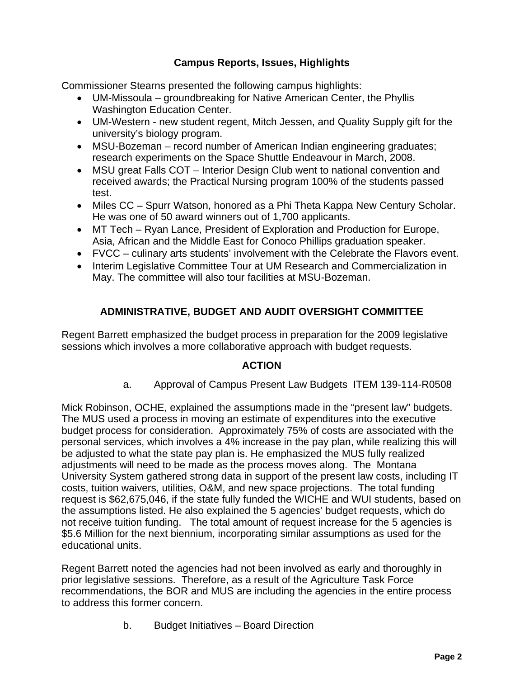# **Campus Reports, Issues, Highlights**

Commissioner Stearns presented the following campus highlights:

- UM-Missoula groundbreaking for Native American Center, the Phyllis Washington Education Center.
- UM-Western new student regent, Mitch Jessen, and Quality Supply gift for the university's biology program.
- MSU-Bozeman record number of American Indian engineering graduates; research experiments on the Space Shuttle Endeavour in March, 2008.
- MSU great Falls COT Interior Design Club went to national convention and received awards; the Practical Nursing program 100% of the students passed test.
- Miles CC Spurr Watson, honored as a Phi Theta Kappa New Century Scholar. He was one of 50 award winners out of 1,700 applicants.
- MT Tech Ryan Lance, President of Exploration and Production for Europe, Asia, African and the Middle East for Conoco Phillips graduation speaker.
- FVCC culinary arts students' involvement with the Celebrate the Flavors event.
- Interim Legislative Committee Tour at UM Research and Commercialization in May. The committee will also tour facilities at MSU-Bozeman.

# **ADMINISTRATIVE, BUDGET AND AUDIT OVERSIGHT COMMITTEE**

Regent Barrett emphasized the budget process in preparation for the 2009 legislative sessions which involves a more collaborative approach with budget requests.

### **ACTION**

a. Approval of Campus Present Law Budgets ITEM 139-114-R0508

Mick Robinson, OCHE, explained the assumptions made in the "present law" budgets. The MUS used a process in moving an estimate of expenditures into the executive budget process for consideration. Approximately 75% of costs are associated with the personal services, which involves a 4% increase in the pay plan, while realizing this will be adjusted to what the state pay plan is. He emphasized the MUS fully realized adjustments will need to be made as the process moves along. The Montana University System gathered strong data in support of the present law costs, including IT costs, tuition waivers, utilities, O&M, and new space projections. The total funding request is \$62,675,046, if the state fully funded the WICHE and WUI students, based on the assumptions listed. He also explained the 5 agencies' budget requests, which do not receive tuition funding. The total amount of request increase for the 5 agencies is \$5.6 Million for the next biennium, incorporating similar assumptions as used for the educational units.

Regent Barrett noted the agencies had not been involved as early and thoroughly in prior legislative sessions. Therefore, as a result of the Agriculture Task Force recommendations, the BOR and MUS are including the agencies in the entire process to address this former concern.

b. Budget Initiatives – Board Direction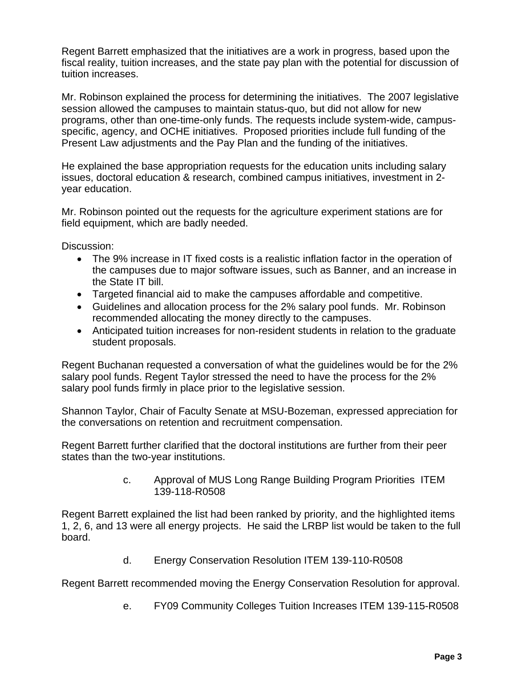Regent Barrett emphasized that the initiatives are a work in progress, based upon the fiscal reality, tuition increases, and the state pay plan with the potential for discussion of tuition increases.

Mr. Robinson explained the process for determining the initiatives. The 2007 legislative session allowed the campuses to maintain status-quo, but did not allow for new programs, other than one-time-only funds. The requests include system-wide, campusspecific, agency, and OCHE initiatives. Proposed priorities include full funding of the Present Law adjustments and the Pay Plan and the funding of the initiatives.

He explained the base appropriation requests for the education units including salary issues, doctoral education & research, combined campus initiatives, investment in 2 year education.

Mr. Robinson pointed out the requests for the agriculture experiment stations are for field equipment, which are badly needed.

Discussion:

- The 9% increase in IT fixed costs is a realistic inflation factor in the operation of the campuses due to major software issues, such as Banner, and an increase in the State IT bill.
- Targeted financial aid to make the campuses affordable and competitive.
- Guidelines and allocation process for the 2% salary pool funds. Mr. Robinson recommended allocating the money directly to the campuses.
- Anticipated tuition increases for non-resident students in relation to the graduate student proposals.

Regent Buchanan requested a conversation of what the guidelines would be for the 2% salary pool funds. Regent Taylor stressed the need to have the process for the 2% salary pool funds firmly in place prior to the legislative session.

Shannon Taylor, Chair of Faculty Senate at MSU-Bozeman, expressed appreciation for the conversations on retention and recruitment compensation.

Regent Barrett further clarified that the doctoral institutions are further from their peer states than the two-year institutions.

> c. Approval of MUS Long Range Building Program Priorities ITEM 139-118-R0508

Regent Barrett explained the list had been ranked by priority, and the highlighted items 1, 2, 6, and 13 were all energy projects. He said the LRBP list would be taken to the full board.

d. Energy Conservation Resolution ITEM 139-110-R0508

Regent Barrett recommended moving the Energy Conservation Resolution for approval.

e. FY09 Community Colleges Tuition Increases ITEM 139-115-R0508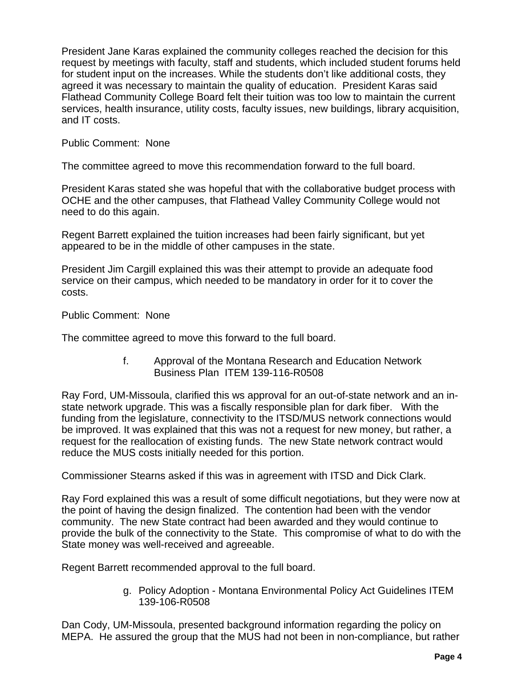President Jane Karas explained the community colleges reached the decision for this request by meetings with faculty, staff and students, which included student forums held for student input on the increases. While the students don't like additional costs, they agreed it was necessary to maintain the quality of education. President Karas said Flathead Community College Board felt their tuition was too low to maintain the current services, health insurance, utility costs, faculty issues, new buildings, library acquisition, and IT costs.

### Public Comment: None

The committee agreed to move this recommendation forward to the full board.

President Karas stated she was hopeful that with the collaborative budget process with OCHE and the other campuses, that Flathead Valley Community College would not need to do this again.

Regent Barrett explained the tuition increases had been fairly significant, but yet appeared to be in the middle of other campuses in the state.

President Jim Cargill explained this was their attempt to provide an adequate food service on their campus, which needed to be mandatory in order for it to cover the costs.

Public Comment: None

The committee agreed to move this forward to the full board.

f. Approval of the Montana Research and Education Network Business Plan ITEM 139-116-R0508

Ray Ford, UM-Missoula, clarified this ws approval for an out-of-state network and an instate network upgrade. This was a fiscally responsible plan for dark fiber. With the funding from the legislature, connectivity to the ITSD/MUS network connections would be improved. It was explained that this was not a request for new money, but rather, a request for the reallocation of existing funds. The new State network contract would reduce the MUS costs initially needed for this portion.

Commissioner Stearns asked if this was in agreement with ITSD and Dick Clark.

Ray Ford explained this was a result of some difficult negotiations, but they were now at the point of having the design finalized. The contention had been with the vendor community. The new State contract had been awarded and they would continue to provide the bulk of the connectivity to the State. This compromise of what to do with the State money was well-received and agreeable.

Regent Barrett recommended approval to the full board.

g. Policy Adoption - Montana Environmental Policy Act Guidelines ITEM 139-106-R0508

Dan Cody, UM-Missoula, presented background information regarding the policy on MEPA. He assured the group that the MUS had not been in non-compliance, but rather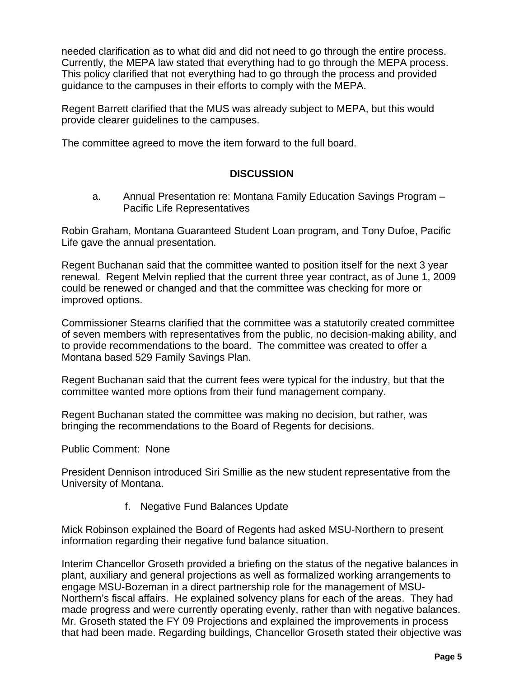needed clarification as to what did and did not need to go through the entire process. Currently, the MEPA law stated that everything had to go through the MEPA process. This policy clarified that not everything had to go through the process and provided guidance to the campuses in their efforts to comply with the MEPA.

Regent Barrett clarified that the MUS was already subject to MEPA, but this would provide clearer guidelines to the campuses.

The committee agreed to move the item forward to the full board.

# **DISCUSSION**

 a. Annual Presentation re: Montana Family Education Savings Program – Pacific Life Representatives

Robin Graham, Montana Guaranteed Student Loan program, and Tony Dufoe, Pacific Life gave the annual presentation.

Regent Buchanan said that the committee wanted to position itself for the next 3 year renewal. Regent Melvin replied that the current three year contract, as of June 1, 2009 could be renewed or changed and that the committee was checking for more or improved options.

Commissioner Stearns clarified that the committee was a statutorily created committee of seven members with representatives from the public, no decision-making ability, and to provide recommendations to the board. The committee was created to offer a Montana based 529 Family Savings Plan.

Regent Buchanan said that the current fees were typical for the industry, but that the committee wanted more options from their fund management company.

Regent Buchanan stated the committee was making no decision, but rather, was bringing the recommendations to the Board of Regents for decisions.

Public Comment: None

President Dennison introduced Siri Smillie as the new student representative from the University of Montana.

f. Negative Fund Balances Update

Mick Robinson explained the Board of Regents had asked MSU-Northern to present information regarding their negative fund balance situation.

Interim Chancellor Groseth provided a briefing on the status of the negative balances in plant, auxiliary and general projections as well as formalized working arrangements to engage MSU-Bozeman in a direct partnership role for the management of MSU-Northern's fiscal affairs. He explained solvency plans for each of the areas. They had made progress and were currently operating evenly, rather than with negative balances. Mr. Groseth stated the FY 09 Projections and explained the improvements in process that had been made. Regarding buildings, Chancellor Groseth stated their objective was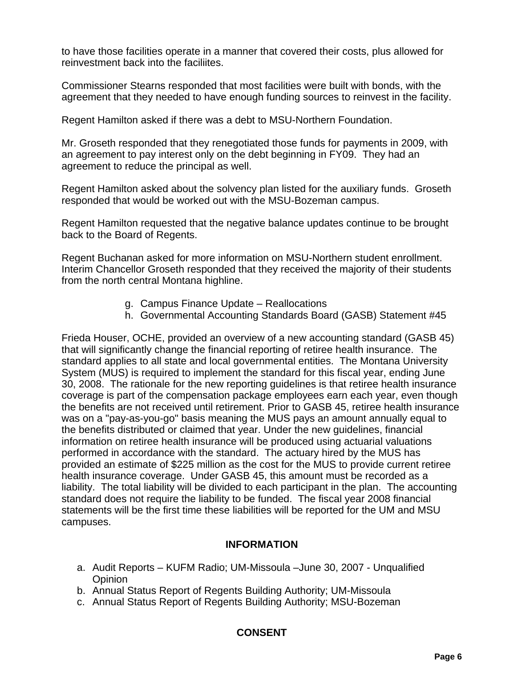to have those facilities operate in a manner that covered their costs, plus allowed for reinvestment back into the faciliites.

Commissioner Stearns responded that most facilities were built with bonds, with the agreement that they needed to have enough funding sources to reinvest in the facility.

Regent Hamilton asked if there was a debt to MSU-Northern Foundation.

Mr. Groseth responded that they renegotiated those funds for payments in 2009, with an agreement to pay interest only on the debt beginning in FY09. They had an agreement to reduce the principal as well.

Regent Hamilton asked about the solvency plan listed for the auxiliary funds. Groseth responded that would be worked out with the MSU-Bozeman campus.

Regent Hamilton requested that the negative balance updates continue to be brought back to the Board of Regents.

Regent Buchanan asked for more information on MSU-Northern student enrollment. Interim Chancellor Groseth responded that they received the majority of their students from the north central Montana highline.

- g. Campus Finance Update Reallocations
- h. Governmental Accounting Standards Board (GASB) Statement #45

Frieda Houser, OCHE, provided an overview of a new accounting standard (GASB 45) that will significantly change the financial reporting of retiree health insurance. The standard applies to all state and local governmental entities. The Montana University System (MUS) is required to implement the standard for this fiscal year, ending June 30, 2008. The rationale for the new reporting guidelines is that retiree health insurance coverage is part of the compensation package employees earn each year, even though the benefits are not received until retirement. Prior to GASB 45, retiree health insurance was on a "pay-as-you-go" basis meaning the MUS pays an amount annually equal to the benefits distributed or claimed that year. Under the new guidelines, financial information on retiree health insurance will be produced using actuarial valuations performed in accordance with the standard. The actuary hired by the MUS has provided an estimate of \$225 million as the cost for the MUS to provide current retiree health insurance coverage. Under GASB 45, this amount must be recorded as a liability. The total liability will be divided to each participant in the plan. The accounting standard does not require the liability to be funded. The fiscal year 2008 financial statements will be the first time these liabilities will be reported for the UM and MSU campuses.

### **INFORMATION**

- a. Audit Reports KUFM Radio; UM-Missoula –June 30, 2007 Unqualified **Opinion**
- b. Annual Status Report of Regents Building Authority; UM-Missoula
- c. Annual Status Report of Regents Building Authority; MSU-Bozeman

# **CONSENT**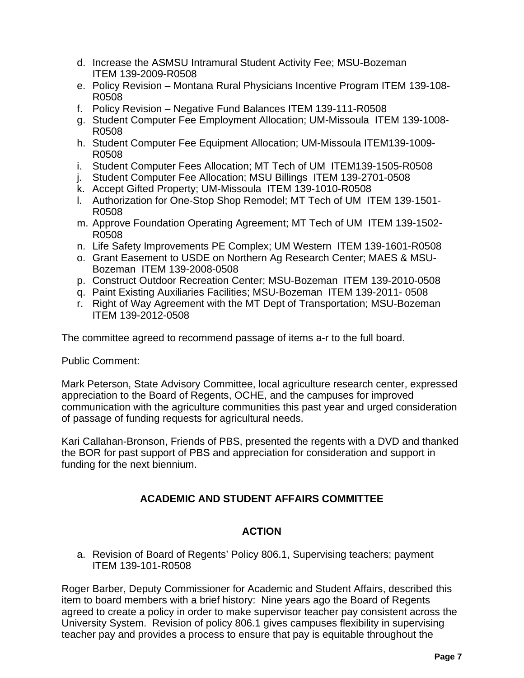- d. Increase the ASMSU Intramural Student Activity Fee; MSU-Bozeman ITEM 139-2009-R0508
- e. Policy Revision Montana Rural Physicians Incentive Program ITEM 139-108- R0508
- f. Policy Revision Negative Fund Balances ITEM 139-111-R0508
- g. Student Computer Fee Employment Allocation; UM-Missoula ITEM 139-1008- R0508
- h. Student Computer Fee Equipment Allocation; UM-Missoula ITEM139-1009- R0508
- i. Student Computer Fees Allocation; MT Tech of UM ITEM139-1505-R0508
- j. Student Computer Fee Allocation; MSU Billings ITEM 139-2701-0508
- k. Accept Gifted Property; UM-Missoula ITEM 139-1010-R0508
- l. Authorization for One-Stop Shop Remodel; MT Tech of UM ITEM 139-1501- R0508
- m. Approve Foundation Operating Agreement; MT Tech of UM ITEM 139-1502- R0508
- n. Life Safety Improvements PE Complex; UM Western ITEM 139-1601-R0508
- o. Grant Easement to USDE on Northern Ag Research Center; MAES & MSU-Bozeman ITEM 139-2008-0508
- p. Construct Outdoor Recreation Center; MSU-Bozeman ITEM 139-2010-0508
- q. Paint Existing Auxiliaries Facilities; MSU-Bozeman ITEM 139-2011- 0508
- r. Right of Way Agreement with the MT Dept of Transportation; MSU-Bozeman ITEM 139-2012-0508

The committee agreed to recommend passage of items a-r to the full board.

### Public Comment:

Mark Peterson, State Advisory Committee, local agriculture research center, expressed appreciation to the Board of Regents, OCHE, and the campuses for improved communication with the agriculture communities this past year and urged consideration of passage of funding requests for agricultural needs.

Kari Callahan-Bronson, Friends of PBS, presented the regents with a DVD and thanked the BOR for past support of PBS and appreciation for consideration and support in funding for the next biennium.

# **ACADEMIC AND STUDENT AFFAIRS COMMITTEE**

# **ACTION**

a. Revision of Board of Regents' Policy 806.1, Supervising teachers; payment ITEM 139-101-R0508

Roger Barber, Deputy Commissioner for Academic and Student Affairs, described this item to board members with a brief history: Nine years ago the Board of Regents agreed to create a policy in order to make supervisor teacher pay consistent across the University System. Revision of policy 806.1 gives campuses flexibility in supervising teacher pay and provides a process to ensure that pay is equitable throughout the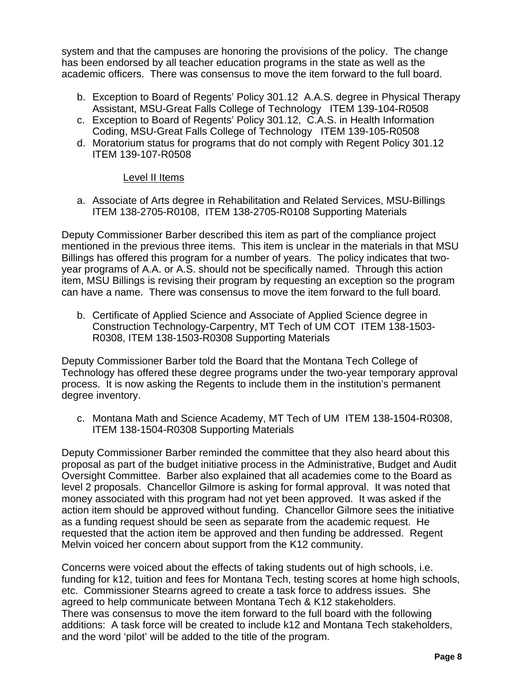system and that the campuses are honoring the provisions of the policy. The change has been endorsed by all teacher education programs in the state as well as the academic officers. There was consensus to move the item forward to the full board.

- b. Exception to Board of Regents' Policy 301.12 A.A.S. degree in Physical Therapy Assistant, MSU-Great Falls College of Technology ITEM 139-104-R0508
- c. Exception to Board of Regents' Policy 301.12, C.A.S. in Health Information Coding, MSU-Great Falls College of Technology ITEM 139-105-R0508
- d. Moratorium status for programs that do not comply with Regent Policy 301.12 ITEM 139-107-R0508

### Level II Items

a. Associate of Arts degree in Rehabilitation and Related Services, MSU-Billings ITEM 138-2705-R0108, ITEM 138-2705-R0108 Supporting Materials

Deputy Commissioner Barber described this item as part of the compliance project mentioned in the previous three items. This item is unclear in the materials in that MSU Billings has offered this program for a number of years. The policy indicates that twoyear programs of A.A. or A.S. should not be specifically named. Through this action item, MSU Billings is revising their program by requesting an exception so the program can have a name. There was consensus to move the item forward to the full board.

b. Certificate of Applied Science and Associate of Applied Science degree in Construction Technology-Carpentry, MT Tech of UM COT ITEM 138-1503- R0308, ITEM 138-1503-R0308 Supporting Materials

Deputy Commissioner Barber told the Board that the Montana Tech College of Technology has offered these degree programs under the two-year temporary approval process. It is now asking the Regents to include them in the institution's permanent degree inventory.

c. Montana Math and Science Academy, MT Tech of UM ITEM 138-1504-R0308, ITEM 138-1504-R0308 Supporting Materials

Deputy Commissioner Barber reminded the committee that they also heard about this proposal as part of the budget initiative process in the Administrative, Budget and Audit Oversight Committee. Barber also explained that all academies come to the Board as level 2 proposals. Chancellor Gilmore is asking for formal approval. It was noted that money associated with this program had not yet been approved. It was asked if the action item should be approved without funding. Chancellor Gilmore sees the initiative as a funding request should be seen as separate from the academic request. He requested that the action item be approved and then funding be addressed. Regent Melvin voiced her concern about support from the K12 community.

Concerns were voiced about the effects of taking students out of high schools, i.e. funding for k12, tuition and fees for Montana Tech, testing scores at home high schools, etc. Commissioner Stearns agreed to create a task force to address issues. She agreed to help communicate between Montana Tech & K12 stakeholders. There was consensus to move the item forward to the full board with the following additions: A task force will be created to include k12 and Montana Tech stakeholders, and the word 'pilot' will be added to the title of the program.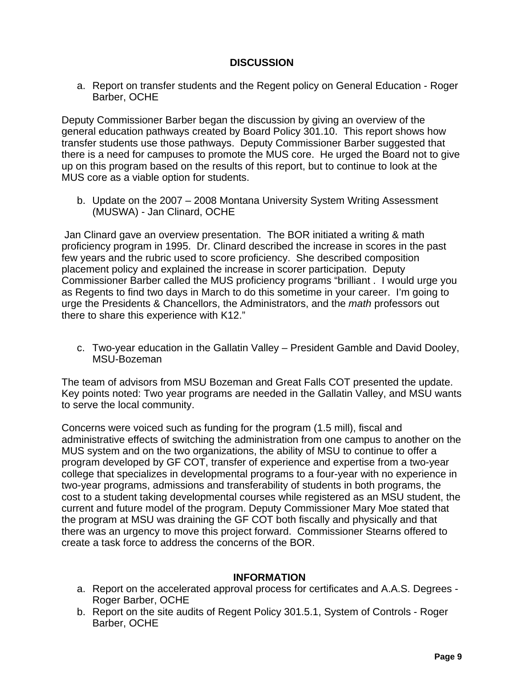## **DISCUSSION**

a. Report on transfer students and the Regent policy on General Education - Roger Barber, OCHE

Deputy Commissioner Barber began the discussion by giving an overview of the general education pathways created by Board Policy 301.10. This report shows how transfer students use those pathways. Deputy Commissioner Barber suggested that there is a need for campuses to promote the MUS core. He urged the Board not to give up on this program based on the results of this report, but to continue to look at the MUS core as a viable option for students.

b. Update on the 2007 – 2008 Montana University System Writing Assessment (MUSWA) - Jan Clinard, OCHE

 Jan Clinard gave an overview presentation. The BOR initiated a writing & math proficiency program in 1995. Dr. Clinard described the increase in scores in the past few years and the rubric used to score proficiency. She described composition placement policy and explained the increase in scorer participation. Deputy Commissioner Barber called the MUS proficiency programs "brilliant . I would urge you as Regents to find two days in March to do this sometime in your career. I'm going to urge the Presidents & Chancellors, the Administrators, and the *math* professors out there to share this experience with K12."

c. Two-year education in the Gallatin Valley – President Gamble and David Dooley, MSU-Bozeman

The team of advisors from MSU Bozeman and Great Falls COT presented the update. Key points noted: Two year programs are needed in the Gallatin Valley, and MSU wants to serve the local community.

Concerns were voiced such as funding for the program (1.5 mill), fiscal and administrative effects of switching the administration from one campus to another on the MUS system and on the two organizations, the ability of MSU to continue to offer a program developed by GF COT, transfer of experience and expertise from a two-year college that specializes in developmental programs to a four-year with no experience in two-year programs, admissions and transferability of students in both programs, the cost to a student taking developmental courses while registered as an MSU student, the current and future model of the program. Deputy Commissioner Mary Moe stated that the program at MSU was draining the GF COT both fiscally and physically and that there was an urgency to move this project forward. Commissioner Stearns offered to create a task force to address the concerns of the BOR.

#### **INFORMATION**

- a. Report on the accelerated approval process for certificates and A.A.S. Degrees Roger Barber, OCHE
- b. Report on the site audits of Regent Policy 301.5.1, System of Controls Roger Barber, OCHE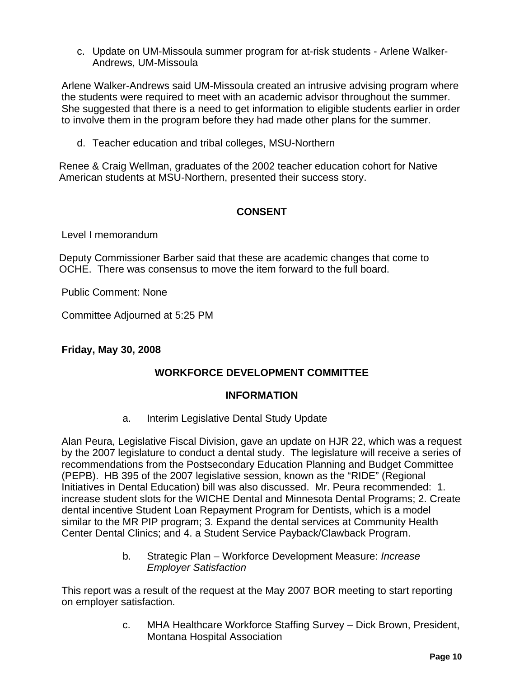c. Update on UM-Missoula summer program for at-risk students - Arlene Walker-Andrews, UM-Missoula

Arlene Walker-Andrews said UM-Missoula created an intrusive advising program where the students were required to meet with an academic advisor throughout the summer. She suggested that there is a need to get information to eligible students earlier in order to involve them in the program before they had made other plans for the summer.

d. Teacher education and tribal colleges, MSU-Northern

Renee & Craig Wellman, graduates of the 2002 teacher education cohort for Native American students at MSU-Northern, presented their success story.

# **CONSENT**

Level I memorandum

Deputy Commissioner Barber said that these are academic changes that come to OCHE. There was consensus to move the item forward to the full board.

Public Comment: None

Committee Adjourned at 5:25 PM

### **Friday, May 30, 2008**

### **WORKFORCE DEVELOPMENT COMMITTEE**

### **INFORMATION**

a. Interim Legislative Dental Study Update

Alan Peura, Legislative Fiscal Division, gave an update on HJR 22, which was a request by the 2007 legislature to conduct a dental study. The legislature will receive a series of recommendations from the Postsecondary Education Planning and Budget Committee (PEPB). HB 395 of the 2007 legislative session, known as the "RIDE" (Regional Initiatives in Dental Education) bill was also discussed. Mr. Peura recommended: 1. increase student slots for the WICHE Dental and Minnesota Dental Programs; 2. Create dental incentive Student Loan Repayment Program for Dentists, which is a model similar to the MR PIP program; 3. Expand the dental services at Community Health Center Dental Clinics; and 4. a Student Service Payback/Clawback Program.

> b. Strategic Plan – Workforce Development Measure: *Increase Employer Satisfaction*

This report was a result of the request at the May 2007 BOR meeting to start reporting on employer satisfaction.

> c. MHA Healthcare Workforce Staffing Survey – Dick Brown, President, Montana Hospital Association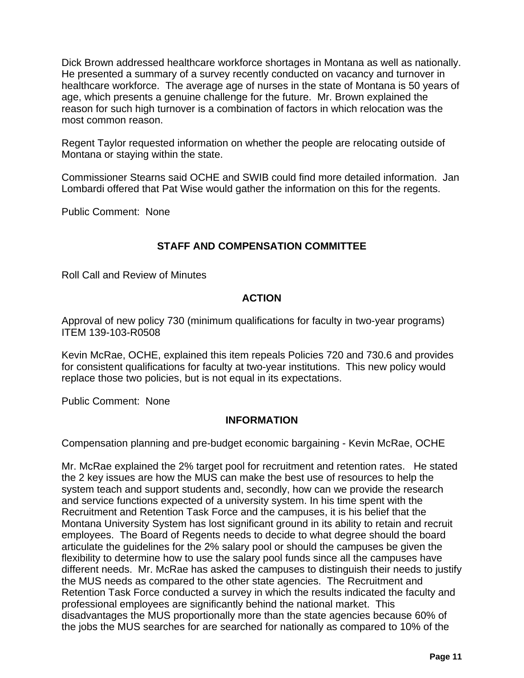Dick Brown addressed healthcare workforce shortages in Montana as well as nationally. He presented a summary of a survey recently conducted on vacancy and turnover in healthcare workforce. The average age of nurses in the state of Montana is 50 years of age, which presents a genuine challenge for the future. Mr. Brown explained the reason for such high turnover is a combination of factors in which relocation was the most common reason.

Regent Taylor requested information on whether the people are relocating outside of Montana or staying within the state.

Commissioner Stearns said OCHE and SWIB could find more detailed information. Jan Lombardi offered that Pat Wise would gather the information on this for the regents.

Public Comment: None

# **STAFF AND COMPENSATION COMMITTEE**

Roll Call and Review of Minutes

# **ACTION**

Approval of new policy 730 (minimum qualifications for faculty in two-year programs) ITEM 139-103-R0508

Kevin McRae, OCHE, explained this item repeals Policies 720 and 730.6 and provides for consistent qualifications for faculty at two-year institutions. This new policy would replace those two policies, but is not equal in its expectations.

Public Comment: None

### **INFORMATION**

Compensation planning and pre-budget economic bargaining - Kevin McRae, OCHE

Mr. McRae explained the 2% target pool for recruitment and retention rates. He stated the 2 key issues are how the MUS can make the best use of resources to help the system teach and support students and, secondly, how can we provide the research and service functions expected of a university system. In his time spent with the Recruitment and Retention Task Force and the campuses, it is his belief that the Montana University System has lost significant ground in its ability to retain and recruit employees. The Board of Regents needs to decide to what degree should the board articulate the guidelines for the 2% salary pool or should the campuses be given the flexibility to determine how to use the salary pool funds since all the campuses have different needs. Mr. McRae has asked the campuses to distinguish their needs to justify the MUS needs as compared to the other state agencies. The Recruitment and Retention Task Force conducted a survey in which the results indicated the faculty and professional employees are significantly behind the national market. This disadvantages the MUS proportionally more than the state agencies because 60% of the jobs the MUS searches for are searched for nationally as compared to 10% of the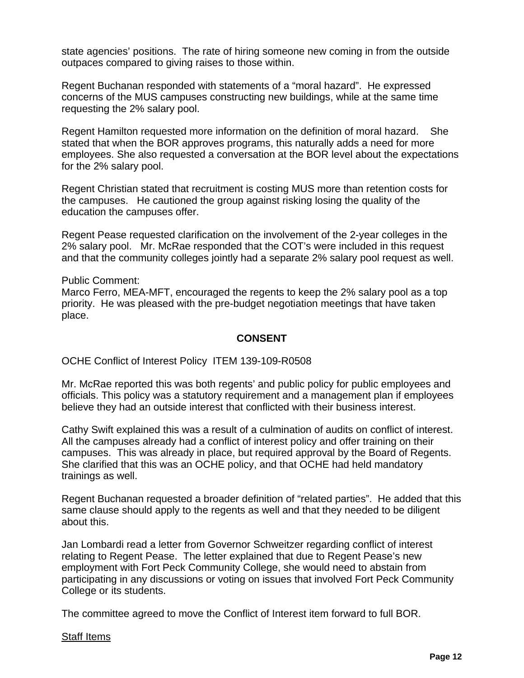state agencies' positions. The rate of hiring someone new coming in from the outside outpaces compared to giving raises to those within.

Regent Buchanan responded with statements of a "moral hazard". He expressed concerns of the MUS campuses constructing new buildings, while at the same time requesting the 2% salary pool.

Regent Hamilton requested more information on the definition of moral hazard. She stated that when the BOR approves programs, this naturally adds a need for more employees. She also requested a conversation at the BOR level about the expectations for the 2% salary pool.

Regent Christian stated that recruitment is costing MUS more than retention costs for the campuses. He cautioned the group against risking losing the quality of the education the campuses offer.

Regent Pease requested clarification on the involvement of the 2-year colleges in the 2% salary pool. Mr. McRae responded that the COT's were included in this request and that the community colleges jointly had a separate 2% salary pool request as well.

Public Comment:

Marco Ferro, MEA-MFT, encouraged the regents to keep the 2% salary pool as a top priority. He was pleased with the pre-budget negotiation meetings that have taken place.

### **CONSENT**

OCHE Conflict of Interest Policy ITEM 139-109-R0508

Mr. McRae reported this was both regents' and public policy for public employees and officials. This policy was a statutory requirement and a management plan if employees believe they had an outside interest that conflicted with their business interest.

Cathy Swift explained this was a result of a culmination of audits on conflict of interest. All the campuses already had a conflict of interest policy and offer training on their campuses. This was already in place, but required approval by the Board of Regents. She clarified that this was an OCHE policy, and that OCHE had held mandatory trainings as well.

Regent Buchanan requested a broader definition of "related parties". He added that this same clause should apply to the regents as well and that they needed to be diligent about this.

Jan Lombardi read a letter from Governor Schweitzer regarding conflict of interest relating to Regent Pease. The letter explained that due to Regent Pease's new employment with Fort Peck Community College, she would need to abstain from participating in any discussions or voting on issues that involved Fort Peck Community College or its students.

The committee agreed to move the Conflict of Interest item forward to full BOR.

#### Staff Items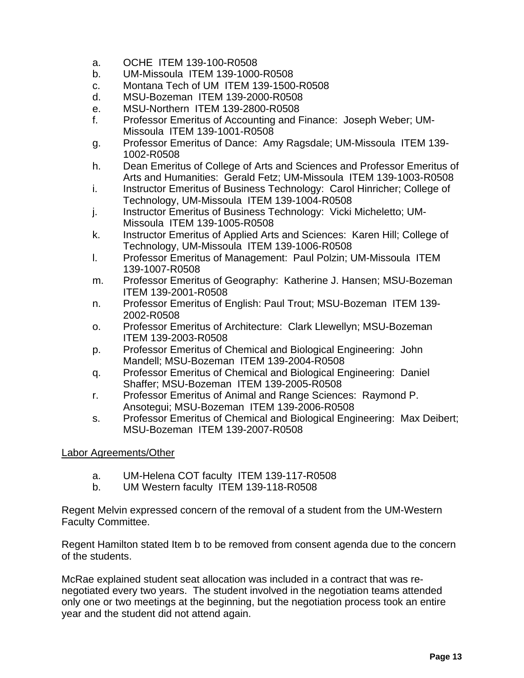- a. OCHE ITEM 139-100-R0508
- b. UM-Missoula ITEM 139-1000-R0508
- c. Montana Tech of UM ITEM 139-1500-R0508
- d. MSU-Bozeman ITEM 139-2000-R0508
- e. MSU-Northern ITEM 139-2800-R0508
- f. Professor Emeritus of Accounting and Finance: Joseph Weber; UM-Missoula ITEM 139-1001-R0508
- g. Professor Emeritus of Dance: Amy Ragsdale; UM-Missoula ITEM 139- 1002-R0508
- h. Dean Emeritus of College of Arts and Sciences and Professor Emeritus of Arts and Humanities: Gerald Fetz; UM-Missoula ITEM 139-1003-R0508
- i. Instructor Emeritus of Business Technology: Carol Hinricher; College of Technology, UM-Missoula ITEM 139-1004-R0508
- j. Instructor Emeritus of Business Technology: Vicki Micheletto; UM-Missoula ITEM 139-1005-R0508
- k. Instructor Emeritus of Applied Arts and Sciences: Karen Hill; College of Technology, UM-Missoula ITEM 139-1006-R0508
- l. Professor Emeritus of Management: Paul Polzin; UM-Missoula ITEM 139-1007-R0508
- m. Professor Emeritus of Geography: Katherine J. Hansen; MSU-Bozeman ITEM 139-2001-R0508
- n. Professor Emeritus of English: Paul Trout; MSU-Bozeman ITEM 139- 2002-R0508
- o. Professor Emeritus of Architecture: Clark Llewellyn; MSU-Bozeman ITEM 139-2003-R0508
- p. Professor Emeritus of Chemical and Biological Engineering: John Mandell; MSU-Bozeman ITEM 139-2004-R0508
- q. Professor Emeritus of Chemical and Biological Engineering: Daniel Shaffer; MSU-Bozeman ITEM 139-2005-R0508
- r. Professor Emeritus of Animal and Range Sciences: Raymond P. Ansotegui; MSU-Bozeman ITEM 139-2006-R0508
- s. Professor Emeritus of Chemical and Biological Engineering: Max Deibert; MSU-Bozeman ITEM 139-2007-R0508

Labor Agreements/Other

- a. UM-Helena COT faculty ITEM 139-117-R0508
- b. UM Western faculty ITEM 139-118-R0508

Regent Melvin expressed concern of the removal of a student from the UM-Western Faculty Committee.

Regent Hamilton stated Item b to be removed from consent agenda due to the concern of the students.

McRae explained student seat allocation was included in a contract that was renegotiated every two years. The student involved in the negotiation teams attended only one or two meetings at the beginning, but the negotiation process took an entire year and the student did not attend again.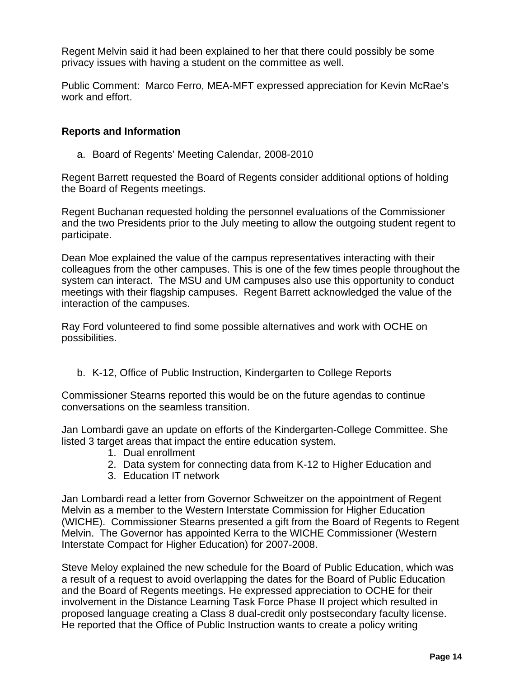Regent Melvin said it had been explained to her that there could possibly be some privacy issues with having a student on the committee as well.

Public Comment: Marco Ferro, MEA-MFT expressed appreciation for Kevin McRae's work and effort.

### **Reports and Information**

a. Board of Regents' Meeting Calendar, 2008-2010

Regent Barrett requested the Board of Regents consider additional options of holding the Board of Regents meetings.

Regent Buchanan requested holding the personnel evaluations of the Commissioner and the two Presidents prior to the July meeting to allow the outgoing student regent to participate.

Dean Moe explained the value of the campus representatives interacting with their colleagues from the other campuses. This is one of the few times people throughout the system can interact. The MSU and UM campuses also use this opportunity to conduct meetings with their flagship campuses. Regent Barrett acknowledged the value of the interaction of the campuses.

Ray Ford volunteered to find some possible alternatives and work with OCHE on possibilities.

b. K-12, Office of Public Instruction, Kindergarten to College Reports

Commissioner Stearns reported this would be on the future agendas to continue conversations on the seamless transition.

Jan Lombardi gave an update on efforts of the Kindergarten-College Committee. She listed 3 target areas that impact the entire education system.

- 1. Dual enrollment
- 2. Data system for connecting data from K-12 to Higher Education and
- 3. Education IT network

Jan Lombardi read a letter from Governor Schweitzer on the appointment of Regent Melvin as a member to the Western Interstate Commission for Higher Education (WICHE). Commissioner Stearns presented a gift from the Board of Regents to Regent Melvin. The Governor has appointed Kerra to the WICHE Commissioner (Western Interstate Compact for Higher Education) for 2007-2008.

Steve Meloy explained the new schedule for the Board of Public Education, which was a result of a request to avoid overlapping the dates for the Board of Public Education and the Board of Regents meetings. He expressed appreciation to OCHE for their involvement in the Distance Learning Task Force Phase II project which resulted in proposed language creating a Class 8 dual-credit only postsecondary faculty license. He reported that the Office of Public Instruction wants to create a policy writing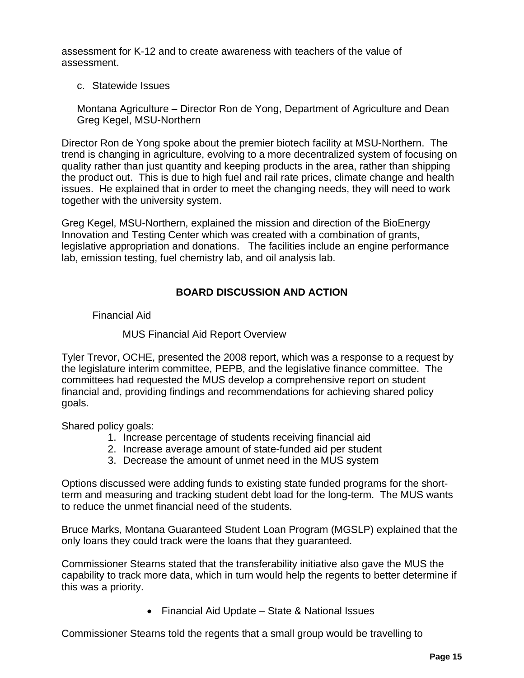assessment for K-12 and to create awareness with teachers of the value of assessment.

#### c. Statewide Issues

Montana Agriculture – Director Ron de Yong, Department of Agriculture and Dean Greg Kegel, MSU-Northern

Director Ron de Yong spoke about the premier biotech facility at MSU-Northern. The trend is changing in agriculture, evolving to a more decentralized system of focusing on quality rather than just quantity and keeping products in the area, rather than shipping the product out. This is due to high fuel and rail rate prices, climate change and health issues. He explained that in order to meet the changing needs, they will need to work together with the university system.

Greg Kegel, MSU-Northern, explained the mission and direction of the BioEnergy Innovation and Testing Center which was created with a combination of grants, legislative appropriation and donations. The facilities include an engine performance lab, emission testing, fuel chemistry lab, and oil analysis lab.

# **BOARD DISCUSSION AND ACTION**

Financial Aid

### MUS Financial Aid Report Overview

Tyler Trevor, OCHE, presented the 2008 report, which was a response to a request by the legislature interim committee, PEPB, and the legislative finance committee. The committees had requested the MUS develop a comprehensive report on student financial and, providing findings and recommendations for achieving shared policy goals.

Shared policy goals:

- 1. Increase percentage of students receiving financial aid
- 2. Increase average amount of state-funded aid per student
- 3. Decrease the amount of unmet need in the MUS system

Options discussed were adding funds to existing state funded programs for the shortterm and measuring and tracking student debt load for the long-term. The MUS wants to reduce the unmet financial need of the students.

Bruce Marks, Montana Guaranteed Student Loan Program (MGSLP) explained that the only loans they could track were the loans that they guaranteed.

Commissioner Stearns stated that the transferability initiative also gave the MUS the capability to track more data, which in turn would help the regents to better determine if this was a priority.

• Financial Aid Update – State & National Issues

Commissioner Stearns told the regents that a small group would be travelling to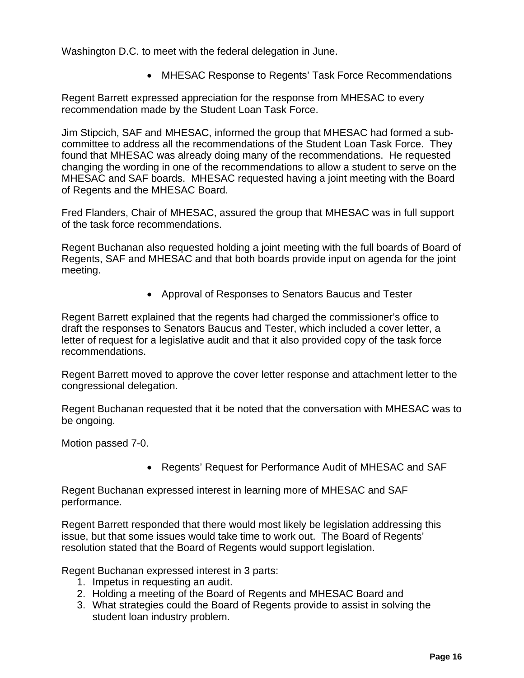Washington D.C. to meet with the federal delegation in June.

• MHESAC Response to Regents' Task Force Recommendations

Regent Barrett expressed appreciation for the response from MHESAC to every recommendation made by the Student Loan Task Force.

Jim Stipcich, SAF and MHESAC, informed the group that MHESAC had formed a subcommittee to address all the recommendations of the Student Loan Task Force. They found that MHESAC was already doing many of the recommendations. He requested changing the wording in one of the recommendations to allow a student to serve on the MHESAC and SAF boards. MHESAC requested having a joint meeting with the Board of Regents and the MHESAC Board.

Fred Flanders, Chair of MHESAC, assured the group that MHESAC was in full support of the task force recommendations.

Regent Buchanan also requested holding a joint meeting with the full boards of Board of Regents, SAF and MHESAC and that both boards provide input on agenda for the joint meeting.

• Approval of Responses to Senators Baucus and Tester

Regent Barrett explained that the regents had charged the commissioner's office to draft the responses to Senators Baucus and Tester, which included a cover letter, a letter of request for a legislative audit and that it also provided copy of the task force recommendations.

Regent Barrett moved to approve the cover letter response and attachment letter to the congressional delegation.

Regent Buchanan requested that it be noted that the conversation with MHESAC was to be ongoing.

Motion passed 7-0.

• Regents' Request for Performance Audit of MHESAC and SAF

Regent Buchanan expressed interest in learning more of MHESAC and SAF performance.

Regent Barrett responded that there would most likely be legislation addressing this issue, but that some issues would take time to work out. The Board of Regents' resolution stated that the Board of Regents would support legislation.

Regent Buchanan expressed interest in 3 parts:

- 1. Impetus in requesting an audit.
- 2. Holding a meeting of the Board of Regents and MHESAC Board and
- 3. What strategies could the Board of Regents provide to assist in solving the student loan industry problem.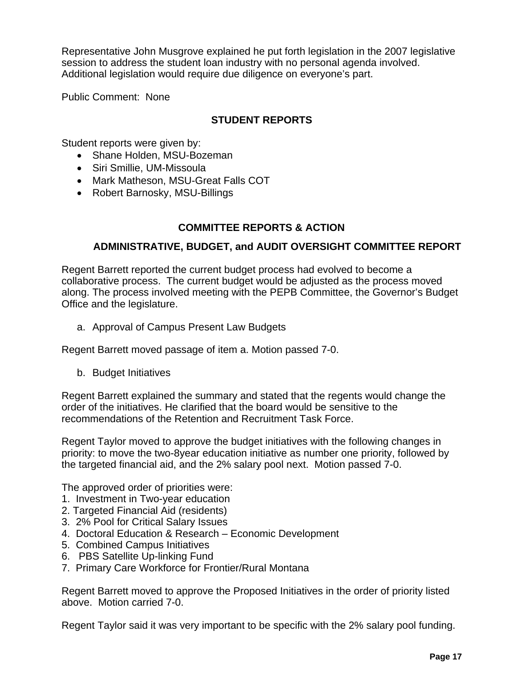Representative John Musgrove explained he put forth legislation in the 2007 legislative session to address the student loan industry with no personal agenda involved. Additional legislation would require due diligence on everyone's part.

Public Comment: None

# **STUDENT REPORTS**

Student reports were given by:

- Shane Holden, MSU-Bozeman
- Siri Smillie, UM-Missoula
- Mark Matheson, MSU-Great Falls COT
- Robert Barnosky, MSU-Billings

# **COMMITTEE REPORTS & ACTION**

# **ADMINISTRATIVE, BUDGET, and AUDIT OVERSIGHT COMMITTEE REPORT**

Regent Barrett reported the current budget process had evolved to become a collaborative process. The current budget would be adjusted as the process moved along. The process involved meeting with the PEPB Committee, the Governor's Budget Office and the legislature.

a. Approval of Campus Present Law Budgets

Regent Barrett moved passage of item a. Motion passed 7-0.

b. Budget Initiatives

Regent Barrett explained the summary and stated that the regents would change the order of the initiatives. He clarified that the board would be sensitive to the recommendations of the Retention and Recruitment Task Force.

Regent Taylor moved to approve the budget initiatives with the following changes in priority: to move the two-8year education initiative as number one priority, followed by the targeted financial aid, and the 2% salary pool next. Motion passed 7-0.

The approved order of priorities were:

- 1. Investment in Two-year education
- 2. Targeted Financial Aid (residents)
- 3. 2% Pool for Critical Salary Issues
- 4. Doctoral Education & Research Economic Development
- 5. Combined Campus Initiatives
- 6. PBS Satellite Up-linking Fund
- 7. Primary Care Workforce for Frontier/Rural Montana

Regent Barrett moved to approve the Proposed Initiatives in the order of priority listed above. Motion carried 7-0.

Regent Taylor said it was very important to be specific with the 2% salary pool funding.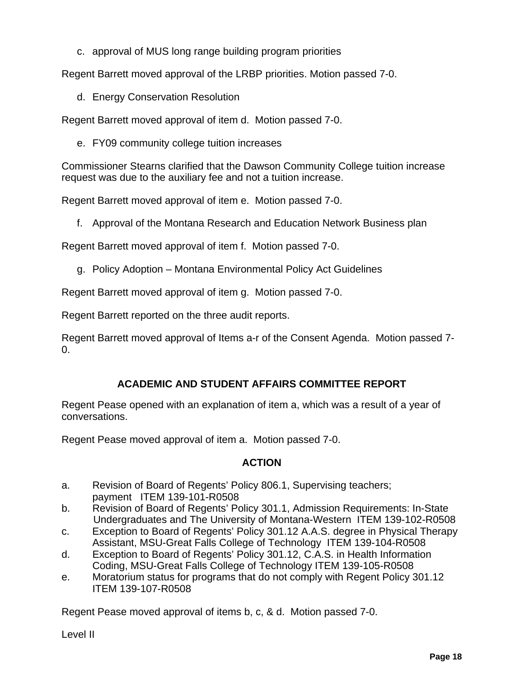c. approval of MUS long range building program priorities

Regent Barrett moved approval of the LRBP priorities. Motion passed 7-0.

d. Energy Conservation Resolution

Regent Barrett moved approval of item d. Motion passed 7-0.

e. FY09 community college tuition increases

Commissioner Stearns clarified that the Dawson Community College tuition increase request was due to the auxiliary fee and not a tuition increase.

Regent Barrett moved approval of item e. Motion passed 7-0.

f. Approval of the Montana Research and Education Network Business plan

Regent Barrett moved approval of item f. Motion passed 7-0.

g. Policy Adoption – Montana Environmental Policy Act Guidelines

Regent Barrett moved approval of item g. Motion passed 7-0.

Regent Barrett reported on the three audit reports.

Regent Barrett moved approval of Items a-r of the Consent Agenda. Motion passed 7- 0.

# **ACADEMIC AND STUDENT AFFAIRS COMMITTEE REPORT**

Regent Pease opened with an explanation of item a, which was a result of a year of conversations.

Regent Pease moved approval of item a. Motion passed 7-0.

# **ACTION**

- a. Revision of Board of Regents' Policy 806.1, Supervising teachers; payment ITEM 139-101-R0508
- b. Revision of Board of Regents' Policy 301.1, Admission Requirements: In-State Undergraduates and The University of Montana-Western ITEM 139-102-R0508
- c. Exception to Board of Regents' Policy 301.12 A.A.S. degree in Physical Therapy Assistant, MSU-Great Falls College of Technology ITEM 139-104-R0508
- d. Exception to Board of Regents' Policy 301.12, C.A.S. in Health Information Coding, MSU-Great Falls College of Technology ITEM 139-105-R0508
- e. Moratorium status for programs that do not comply with Regent Policy 301.12 ITEM 139-107-R0508

Regent Pease moved approval of items b, c, & d. Motion passed 7-0.

Level II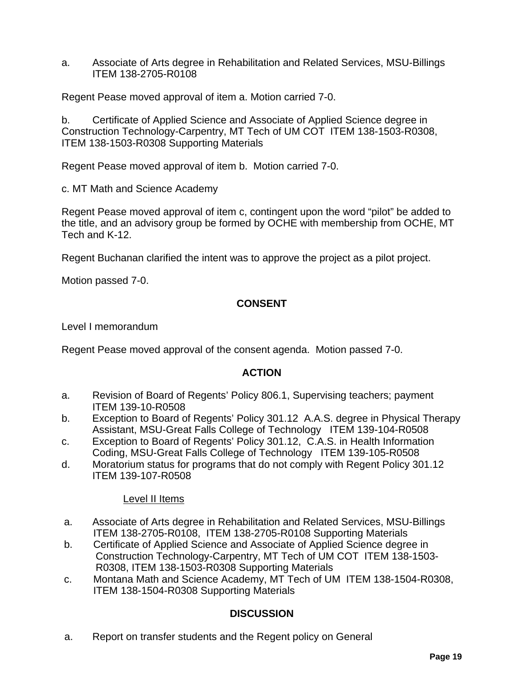a. Associate of Arts degree in Rehabilitation and Related Services, MSU-Billings ITEM 138-2705-R0108

Regent Pease moved approval of item a. Motion carried 7-0.

b. Certificate of Applied Science and Associate of Applied Science degree in Construction Technology-Carpentry, MT Tech of UM COT ITEM 138-1503-R0308, ITEM 138-1503-R0308 Supporting Materials

Regent Pease moved approval of item b. Motion carried 7-0.

c. MT Math and Science Academy

Regent Pease moved approval of item c, contingent upon the word "pilot" be added to the title, and an advisory group be formed by OCHE with membership from OCHE, MT Tech and K-12.

Regent Buchanan clarified the intent was to approve the project as a pilot project.

Motion passed 7-0.

# **CONSENT**

Level I memorandum

Regent Pease moved approval of the consent agenda. Motion passed 7-0.

### **ACTION**

- a. Revision of Board of Regents' Policy 806.1, Supervising teachers; payment ITEM 139-10-R0508
- b. Exception to Board of Regents' Policy 301.12 A.A.S. degree in Physical Therapy Assistant, MSU-Great Falls College of Technology ITEM 139-104-R0508
- c. Exception to Board of Regents' Policy 301.12, C.A.S. in Health Information Coding, MSU-Great Falls College of Technology ITEM 139-105-R0508
- d. Moratorium status for programs that do not comply with Regent Policy 301.12 ITEM 139-107-R0508

### Level II Items

- a. Associate of Arts degree in Rehabilitation and Related Services, MSU-Billings ITEM 138-2705-R0108, ITEM 138-2705-R0108 Supporting Materials
- b. Certificate of Applied Science and Associate of Applied Science degree in Construction Technology-Carpentry, MT Tech of UM COT ITEM 138-1503- R0308, ITEM 138-1503-R0308 Supporting Materials
- c. Montana Math and Science Academy, MT Tech of UM ITEM 138-1504-R0308, ITEM 138-1504-R0308 Supporting Materials

# **DISCUSSION**

a. Report on transfer students and the Regent policy on General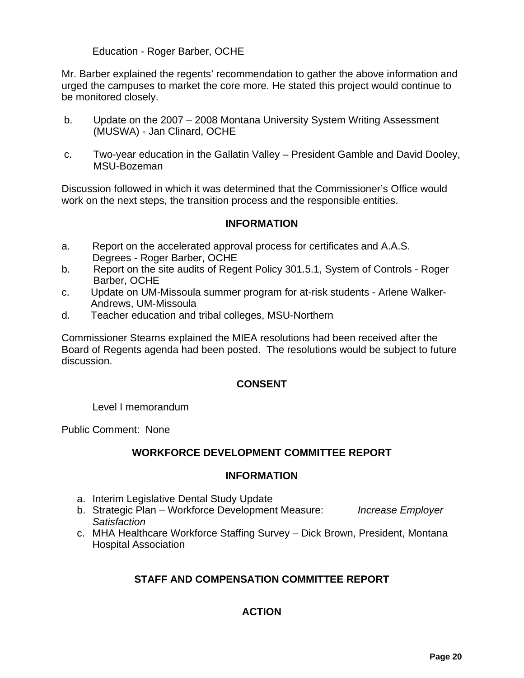# Education - Roger Barber, OCHE

Mr. Barber explained the regents' recommendation to gather the above information and urged the campuses to market the core more. He stated this project would continue to be monitored closely.

- b. Update on the 2007 2008 Montana University System Writing Assessment (MUSWA) - Jan Clinard, OCHE
- c. Two-year education in the Gallatin Valley President Gamble and David Dooley, MSU-Bozeman

Discussion followed in which it was determined that the Commissioner's Office would work on the next steps, the transition process and the responsible entities.

# **INFORMATION**

- a. Report on the accelerated approval process for certificates and A.A.S. Degrees - Roger Barber, OCHE
- b. Report on the site audits of Regent Policy 301.5.1, System of Controls Roger Barber, OCHE
- c. Update on UM-Missoula summer program for at-risk students Arlene Walker- Andrews, UM-Missoula
- d. Teacher education and tribal colleges, MSU-Northern

Commissioner Stearns explained the MIEA resolutions had been received after the Board of Regents agenda had been posted. The resolutions would be subject to future discussion.

### **CONSENT**

Level I memorandum

Public Comment: None

### **WORKFORCE DEVELOPMENT COMMITTEE REPORT**

### **INFORMATION**

- a. Interim Legislative Dental Study Update
- b. Strategic Plan Workforce Development Measure: *Increase Employer Satisfaction*
- c. MHA Healthcare Workforce Staffing Survey Dick Brown, President, Montana Hospital Association

# **STAFF AND COMPENSATION COMMITTEE REPORT**

# **ACTION**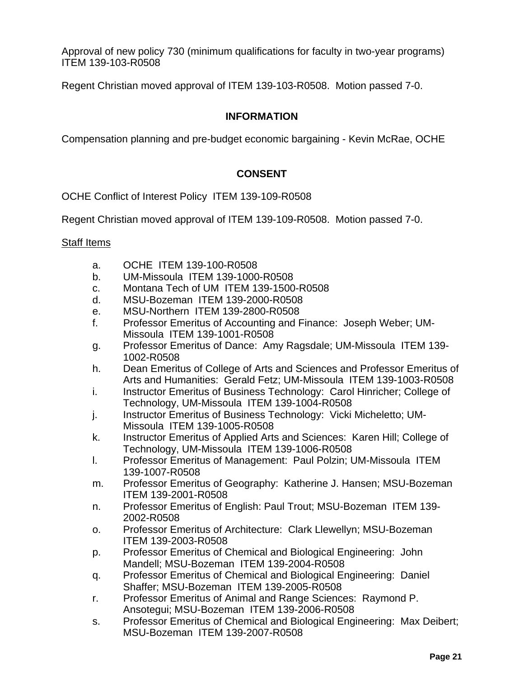Approval of new policy 730 (minimum qualifications for faculty in two-year programs) ITEM 139-103-R0508

Regent Christian moved approval of ITEM 139-103-R0508. Motion passed 7-0.

# **INFORMATION**

Compensation planning and pre-budget economic bargaining - Kevin McRae, OCHE

# **CONSENT**

OCHE Conflict of Interest Policy ITEM 139-109-R0508

Regent Christian moved approval of ITEM 139-109-R0508. Motion passed 7-0.

#### Staff Items

- a. OCHE ITEM 139-100-R0508
- b. UM-Missoula ITEM 139-1000-R0508
- c. Montana Tech of UM ITEM 139-1500-R0508
- d. MSU-Bozeman ITEM 139-2000-R0508
- e. MSU-Northern ITEM 139-2800-R0508
- f. Professor Emeritus of Accounting and Finance: Joseph Weber; UM-Missoula ITEM 139-1001-R0508
- g. Professor Emeritus of Dance: Amy Ragsdale; UM-Missoula ITEM 139- 1002-R0508
- h. Dean Emeritus of College of Arts and Sciences and Professor Emeritus of Arts and Humanities: Gerald Fetz; UM-Missoula ITEM 139-1003-R0508
- i. Instructor Emeritus of Business Technology: Carol Hinricher; College of Technology, UM-Missoula ITEM 139-1004-R0508
- j. Instructor Emeritus of Business Technology: Vicki Micheletto; UM-Missoula ITEM 139-1005-R0508
- k. Instructor Emeritus of Applied Arts and Sciences: Karen Hill; College of Technology, UM-Missoula ITEM 139-1006-R0508
- l. Professor Emeritus of Management: Paul Polzin; UM-Missoula ITEM 139-1007-R0508
- m. Professor Emeritus of Geography: Katherine J. Hansen; MSU-Bozeman ITEM 139-2001-R0508
- n. Professor Emeritus of English: Paul Trout; MSU-Bozeman ITEM 139- 2002-R0508
- o. Professor Emeritus of Architecture: Clark Llewellyn; MSU-Bozeman ITEM 139-2003-R0508
- p. Professor Emeritus of Chemical and Biological Engineering: John Mandell; MSU-Bozeman ITEM 139-2004-R0508
- q. Professor Emeritus of Chemical and Biological Engineering: Daniel Shaffer; MSU-Bozeman ITEM 139-2005-R0508
- r. Professor Emeritus of Animal and Range Sciences: Raymond P. Ansotegui; MSU-Bozeman ITEM 139-2006-R0508
- s. Professor Emeritus of Chemical and Biological Engineering: Max Deibert; MSU-Bozeman ITEM 139-2007-R0508